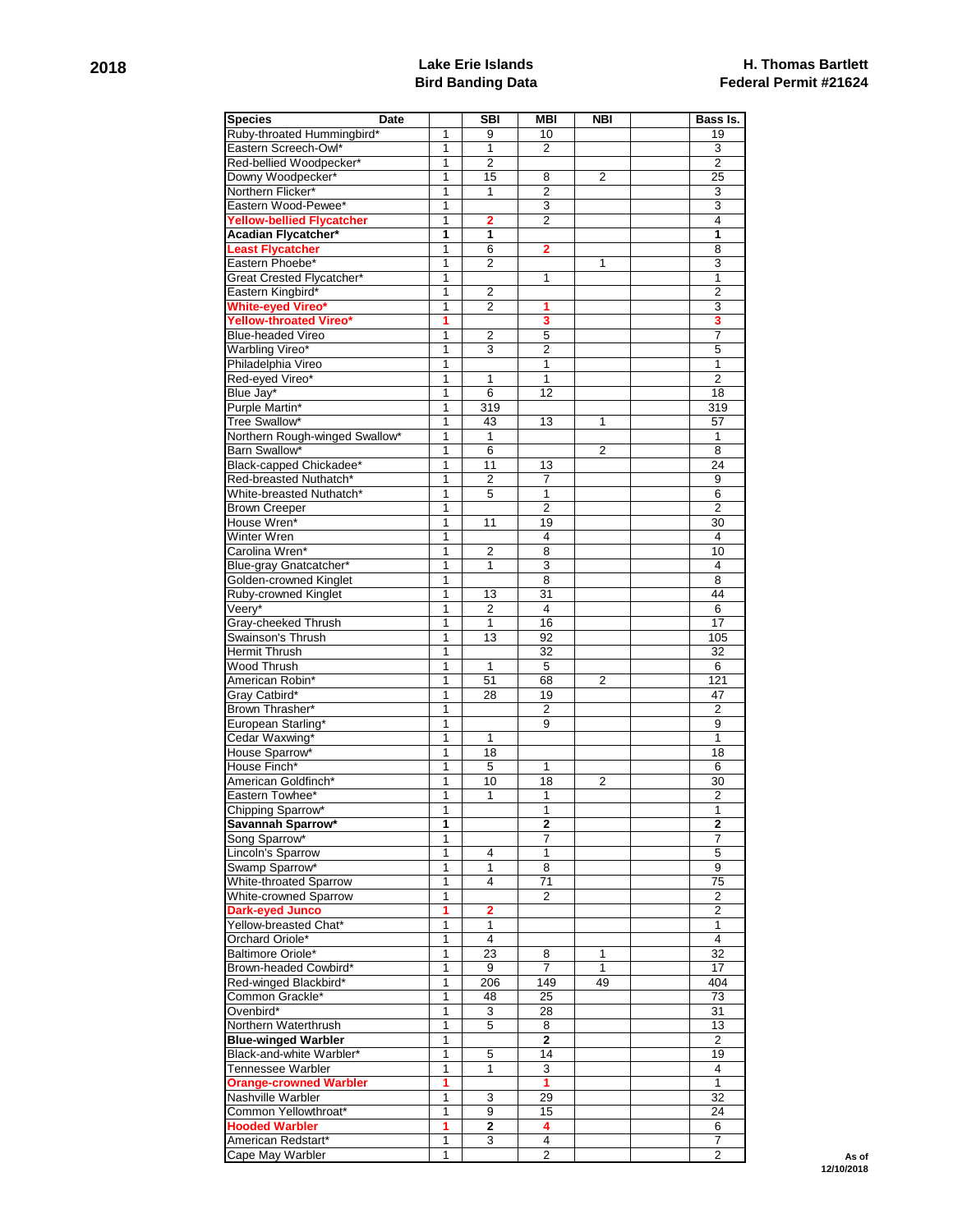## **2018 Lake Erie Islands Bird Banding Data**

| <b>Species</b>                   | Date         | <b>SBI</b>     | <b>MBI</b>     | <b>NBI</b>     | Bass Is.        |
|----------------------------------|--------------|----------------|----------------|----------------|-----------------|
| Ruby-throated Hummingbird*       | $\mathbf 1$  | 9              | 10             |                | 19              |
| Eastern Screech-Owl*             | 1            | 1              | $\overline{2}$ |                | 3               |
| Red-bellied Woodpecker*          | $\mathbf{1}$ | $\overline{2}$ |                |                | $\overline{2}$  |
| Downy Woodpecker*                | $\mathbf{1}$ | 15             | 8              | $\overline{2}$ | 25              |
| Northern Flicker*                | 1            | $\mathbf{1}$   | $\overline{2}$ |                | 3               |
| Eastern Wood-Pewee*              | 1            |                | 3              |                | 3               |
| <b>Yellow-bellied Flycatcher</b> | $\mathbf{1}$ | $\mathbf{2}$   | $\overline{2}$ |                | $\overline{4}$  |
| Acadian Flycatcher*              | 1            | 1              |                |                | 1               |
| <b>Least Flycatcher</b>          | 1            | 6              | 2              |                | 8               |
| Eastern Phoebe*                  | 1            | $\overline{2}$ |                | 1              | 3               |
| Great Crested Flycatcher*        | 1            |                | 1              |                | $\mathbf{1}$    |
| Eastern Kingbird*                | 1            | 2              |                |                | $\overline{2}$  |
| <b>White-eved Vireo*</b>         | 1            | 2              | 1              |                | 3               |
| Yellow-throated Vireo*           | 1            |                | 3              |                | 3               |
| <b>Blue-headed Vireo</b>         | 1            | $\overline{2}$ | 5              |                | 7               |
| Warbling Vireo*                  | $\mathbf{1}$ | 3              | 2              |                | 5               |
| Philadelphia Vireo               | 1            |                | 1              |                | 1               |
| Red-eyed Vireo*                  | 1            | 1              | $\mathbf{1}$   |                | $\overline{2}$  |
| Blue Jay*                        | $\mathbf{1}$ | 6              | 12             |                | 18              |
| Purple Martin*                   | $\mathbf{1}$ | 319            |                |                | 319             |
| Tree Swallow*                    | 1            | 43             | 13             | 1              | 57              |
| Northern Rough-winged Swallow*   | 1            | $\mathbf{1}$   |                |                | $\mathbf 1$     |
| Barn Swallow*                    | 1            | 6              |                | 2              | 8               |
| Black-capped Chickadee*          | 1            | 11             | 13             |                | 24              |
| Red-breasted Nuthatch*           | $\mathbf{1}$ | 2              | 7              |                | 9               |
| White-breasted Nuthatch*         | 1            | 5              | 1              |                | 6               |
|                                  |              |                | $\overline{2}$ |                | $\overline{2}$  |
| <b>Brown Creeper</b>             | 1            |                |                |                |                 |
| House Wren*<br>Winter Wren       | 1            | 11             | 19             |                | 30<br>4         |
| Carolina Wren*                   | 1            |                | 4              |                |                 |
|                                  | 1            | $\overline{2}$ | 8              |                | 10              |
| Blue-gray Gnatcatcher*           | 1            | $\mathbf{1}$   | 3              |                | 4               |
| Golden-crowned Kinglet           | 1            |                | 8              |                | 8               |
| Ruby-crowned Kinglet             | $\mathbf{1}$ | 13             | 31             |                | 44              |
| Veery*                           | 1            | $\overline{2}$ | 4              |                | 6               |
| Gray-cheeked Thrush              | 1            | $\mathbf{1}$   | 16             |                | 17              |
| Swainson's Thrush                | 1            | 13             | 92             |                | 105             |
| Hermit Thrush                    | 1            |                | 32             |                | 32              |
| Wood Thrush                      | $\mathbf{1}$ | $\mathbf{1}$   | 5              |                | 6               |
| American Robin*                  | 1            | 51             | 68             | 2              | 121             |
| Gray Catbird*                    | $\mathbf{1}$ | 28             | 19             |                | 47              |
| Brown Thrasher*                  | 1            |                | 2              |                | 2               |
| European Starling*               | 1            |                | 9              |                | 9               |
| Cedar Waxwing*                   | 1            | 1              |                |                | 1               |
| House Sparrow*                   | 1            | 18             |                |                | 18              |
| House Finch*                     | 1            | 5              | 1              |                | 6               |
| American Goldfinch*              | 1            | 10             | 18             | 2              | 30              |
| Eastern Towhee*                  | 1            | $\mathbf{1}$   | 1              |                | $\overline{c}$  |
| Chipping Sparrow <sup>*</sup>    | T.           |                | 1              |                | 1               |
| Savannah Sparrow*                | 1            |                | 2              |                | $\mathbf{2}$    |
| Song Sparrow*                    | 1            |                | 7              |                | 7               |
| Lincoln's Sparrow                | $\mathbf{1}$ | 4              | $\mathbf{1}$   |                | 5               |
| Swamp Sparrow*                   | 1            | 1              | 8              |                | 9               |
| White-throated Sparrow           | $\mathbf{1}$ | $\overline{4}$ | 71             |                | 75              |
| White-crowned Sparrow            | 1            |                | 2              |                | $\overline{c}$  |
| <b>Dark-eyed Junco</b>           | 1            | $\mathbf{2}$   |                |                | $\overline{2}$  |
| Yellow-breasted Chat*            | 1            | 1              |                |                | $\mathbf{1}$    |
| Orchard Oriole*                  | $\mathbf{1}$ | $\overline{4}$ |                |                | $\overline{4}$  |
| Baltimore Oriole*                | $\mathbf{1}$ | 23             | 8              | 1              | 32              |
| Brown-headed Cowbird*            | 1            | 9              | 7              | 1              | 17              |
| Red-winged Blackbird*            | 1            | 206            | 149            | 49             | 404             |
| Common Grackle*                  | 1            | 48             | 25             |                | 73              |
| Ovenbird*                        | 1            | 3              | 28             |                | 31              |
| Northern Waterthrush             | 1            | 5              | 8              |                | 13              |
| <b>Blue-winged Warbler</b>       | 1            |                | $\overline{2}$ |                | $\overline{2}$  |
| Black-and-white Warbler*         | 1            | 5              | 14             |                | 19              |
| Tennessee Warbler                | 1            | $\mathbf{1}$   | $\overline{3}$ |                | 4               |
| <b>Orange-crowned Warbler</b>    | 1            |                | 1              |                | $\mathbf{1}$    |
| Nashville Warbler                | 1            | 3              | 29             |                | $\overline{32}$ |
| Common Yellowthroat*             | $\mathbf{1}$ | 9              | 15             |                | 24              |
| <b>Hooded Warbler</b>            | 1            | $\mathbf 2$    | 4              |                | 6               |
| American Redstart*               | $\mathbf{1}$ | 3              | 4              |                | 7               |
| Cape May Warbler                 | 1            |                | $\overline{2}$ |                | $\overline{2}$  |
|                                  |              |                |                |                |                 |